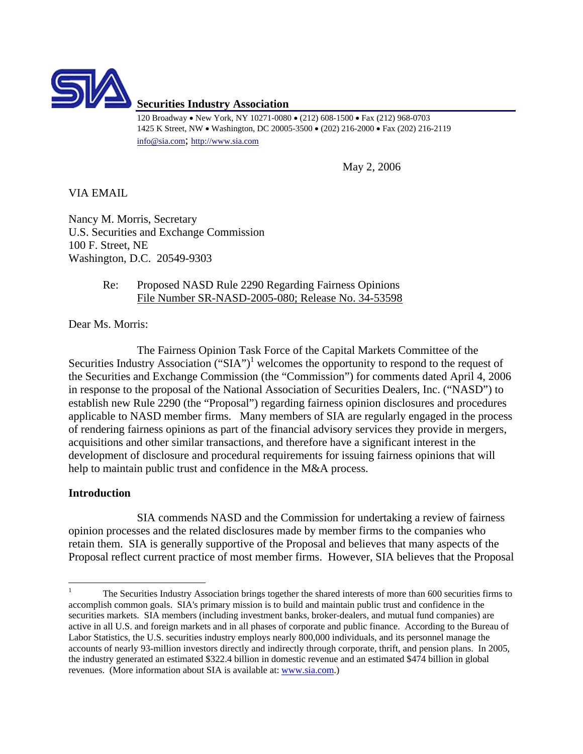

# **Securities Industry Association**

120 Broadway • New York, NY 10271-0080 • (212) 608-1500 • Fax (212) 968-0703 1425 K Street, NW • Washington, DC 20005-3500 • (202) 216-2000 • Fax (202) 216-2119 info@sia.com; http://www.sia.com

May 2, 2006

VIA EMAIL

Nancy M. Morris, Secretary U.S. Securities and Exchange Commission 100 F. Street, NE Washington, D.C. 20549-9303

> Re: Proposed NASD Rule 2290 Regarding Fairness Opinions File Number SR-NASD-2005-080; Release No. 34-53598

Dear Ms. Morris:

The Fairness Opinion Task Force of the Capital Markets Committee of the Securities Industry Association  $("SIA")^1$  $("SIA")^1$  welcomes the opportunity to respond to the request of the Securities and Exchange Commission (the "Commission") for comments dated April 4, 2006 in response to the proposal of the National Association of Securities Dealers, Inc. ("NASD") to establish new Rule 2290 (the "Proposal") regarding fairness opinion disclosures and procedures applicable to NASD member firms. Many members of SIA are regularly engaged in the process of rendering fairness opinions as part of the financial advisory services they provide in mergers, acquisitions and other similar transactions, and therefore have a significant interest in the development of disclosure and procedural requirements for issuing fairness opinions that will help to maintain public trust and confidence in the M&A process.

### **Introduction**

SIA commends NASD and the Commission for undertaking a review of fairness opinion processes and the related disclosures made by member firms to the companies who retain them. SIA is generally supportive of the Proposal and believes that many aspects of the Proposal reflect current practice of most member firms. However, SIA believes that the Proposal

<span id="page-0-0"></span> $\frac{1}{1}$  The Securities Industry Association brings together the shared interests of more than 600 securities firms to accomplish common goals. SIA's primary mission is to build and maintain public trust and confidence in the securities markets. SIA members (including investment banks, broker-dealers, and mutual fund companies) are active in all U.S. and foreign markets and in all phases of corporate and public finance. According to the Bureau of Labor Statistics, the U.S. securities industry employs nearly 800,000 individuals, and its personnel manage the accounts of nearly 93-million investors directly and indirectly through corporate, thrift, and pension plans. In 2005, the industry generated an estimated \$322.4 billion in domestic revenue and an estimated \$474 billion in global revenues. (More information about SIA is available at: www.sia.com.)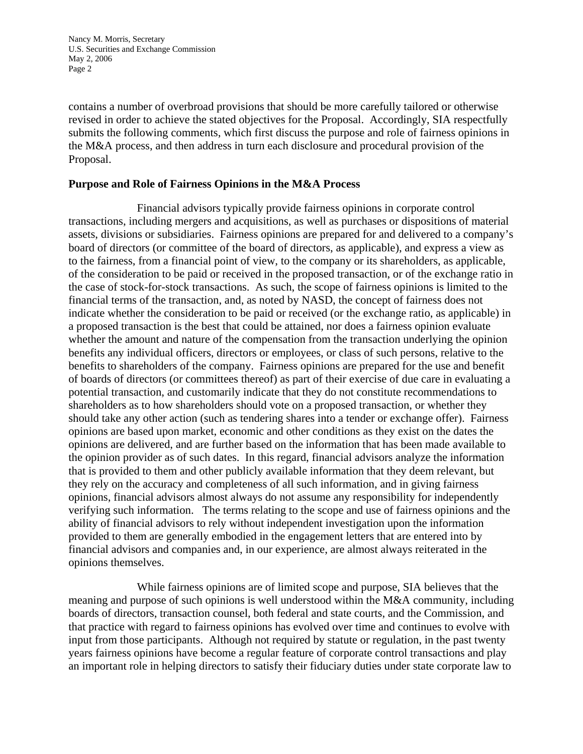contains a number of overbroad provisions that should be more carefully tailored or otherwise revised in order to achieve the stated objectives for the Proposal. Accordingly, SIA respectfully submits the following comments, which first discuss the purpose and role of fairness opinions in the M&A process, and then address in turn each disclosure and procedural provision of the Proposal.

#### **Purpose and Role of Fairness Opinions in the M&A Process**

Financial advisors typically provide fairness opinions in corporate control transactions, including mergers and acquisitions, as well as purchases or dispositions of material assets, divisions or subsidiaries. Fairness opinions are prepared for and delivered to a company's board of directors (or committee of the board of directors, as applicable), and express a view as to the fairness, from a financial point of view, to the company or its shareholders, as applicable, of the consideration to be paid or received in the proposed transaction, or of the exchange ratio in the case of stock-for-stock transactions. As such, the scope of fairness opinions is limited to the financial terms of the transaction, and, as noted by NASD, the concept of fairness does not indicate whether the consideration to be paid or received (or the exchange ratio, as applicable) in a proposed transaction is the best that could be attained, nor does a fairness opinion evaluate whether the amount and nature of the compensation from the transaction underlying the opinion benefits any individual officers, directors or employees, or class of such persons, relative to the benefits to shareholders of the company. Fairness opinions are prepared for the use and benefit of boards of directors (or committees thereof) as part of their exercise of due care in evaluating a potential transaction, and customarily indicate that they do not constitute recommendations to shareholders as to how shareholders should vote on a proposed transaction, or whether they should take any other action (such as tendering shares into a tender or exchange offer). Fairness opinions are based upon market, economic and other conditions as they exist on the dates the opinions are delivered, and are further based on the information that has been made available to the opinion provider as of such dates. In this regard, financial advisors analyze the information that is provided to them and other publicly available information that they deem relevant, but they rely on the accuracy and completeness of all such information, and in giving fairness opinions, financial advisors almost always do not assume any responsibility for independently verifying such information. The terms relating to the scope and use of fairness opinions and the ability of financial advisors to rely without independent investigation upon the information provided to them are generally embodied in the engagement letters that are entered into by financial advisors and companies and, in our experience, are almost always reiterated in the opinions themselves.

While fairness opinions are of limited scope and purpose, SIA believes that the meaning and purpose of such opinions is well understood within the M&A community, including boards of directors, transaction counsel, both federal and state courts, and the Commission, and that practice with regard to fairness opinions has evolved over time and continues to evolve with input from those participants. Although not required by statute or regulation, in the past twenty years fairness opinions have become a regular feature of corporate control transactions and play an important role in helping directors to satisfy their fiduciary duties under state corporate law to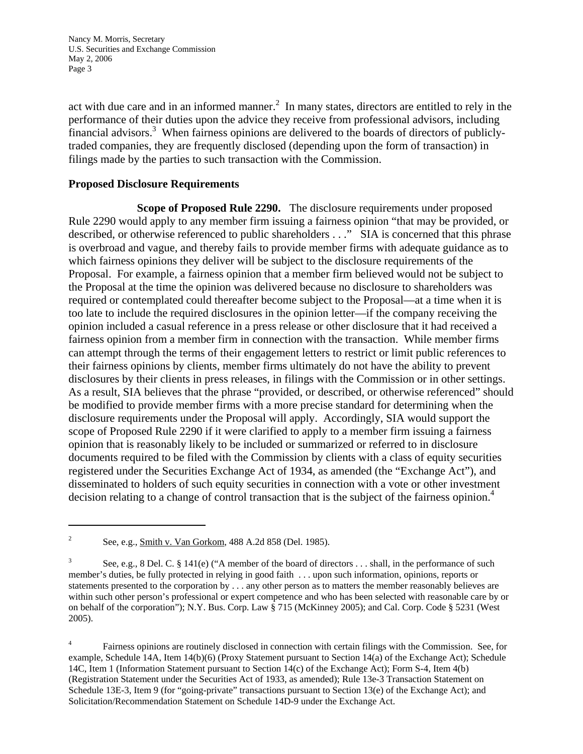act with due care and in an informed manner.<sup>[2](#page-2-0)</sup> In many states, directors are entitled to rely in the performance of their duties upon the advice they receive from professional advisors, including financial advisors.<sup>3</sup> When fairness opinions are delivered to the boards of directors of publiclytraded companies, they are frequently disclosed (depending upon the form of transaction) in filings made by the parties to such transaction with the Commission.

### **Proposed Disclosure Requirements**

**Scope of Proposed Rule 2290.** The disclosure requirements under proposed Rule 2290 would apply to any member firm issuing a fairness opinion "that may be provided, or described, or otherwise referenced to public shareholders . . ." SIA is concerned that this phrase is overbroad and vague, and thereby fails to provide member firms with adequate guidance as to which fairness opinions they deliver will be subject to the disclosure requirements of the Proposal. For example, a fairness opinion that a member firm believed would not be subject to the Proposal at the time the opinion was delivered because no disclosure to shareholders was required or contemplated could thereafter become subject to the Proposal—at a time when it is too late to include the required disclosures in the opinion letter—if the company receiving the opinion included a casual reference in a press release or other disclosure that it had received a fairness opinion from a member firm in connection with the transaction. While member firms can attempt through the terms of their engagement letters to restrict or limit public references to their fairness opinions by clients, member firms ultimately do not have the ability to prevent disclosures by their clients in press releases, in filings with the Commission or in other settings. As a result, SIA believes that the phrase "provided, or described, or otherwise referenced" should be modified to provide member firms with a more precise standard for determining when the disclosure requirements under the Proposal will apply. Accordingly, SIA would support the scope of Proposed Rule 2290 if it were clarified to apply to a member firm issuing a fairness opinion that is reasonably likely to be included or summarized or referred to in disclosure documents required to be filed with the Commission by clients with a class of equity securities registered under the Securities Exchange Act of 1934, as amended (the "Exchange Act"), and disseminated to holders of such equity securities in connection with a vote or other investment decision relating to a change of control transaction that is the subject of the fairness opinion.<sup>4</sup>

 $\overline{a}$ 

<span id="page-2-2"></span>4 Fairness opinions are routinely disclosed in connection with certain filings with the Commission. See, for example, Schedule 14A, Item 14(b)(6) (Proxy Statement pursuant to Section 14(a) of the Exchange Act); Schedule 14C, Item 1 (Information Statement pursuant to Section 14(c) of the Exchange Act); Form S-4, Item 4(b) (Registration Statement under the Securities Act of 1933, as amended); Rule 13e-3 Transaction Statement on Schedule 13E-3, Item 9 (for "going-private" transactions pursuant to Section 13(e) of the Exchange Act); and Solicitation/Recommendation Statement on Schedule 14D-9 under the Exchange Act.

<span id="page-2-0"></span><sup>2</sup> See, e.g., Smith v. Van Gorkom, 488 A.2d 858 (Del. 1985).

<span id="page-2-1"></span><sup>3</sup> See, e.g., 8 Del. C. § 141(e) ("A member of the board of directors . . . shall, in the performance of such member's duties, be fully protected in relying in good faith . . . upon such information, opinions, reports or statements presented to the corporation by . . . any other person as to matters the member reasonably believes are within such other person's professional or expert competence and who has been selected with reasonable care by or on behalf of the corporation"); N.Y. Bus. Corp. Law § 715 (McKinney 2005); and Cal. Corp. Code § 5231 (West 2005).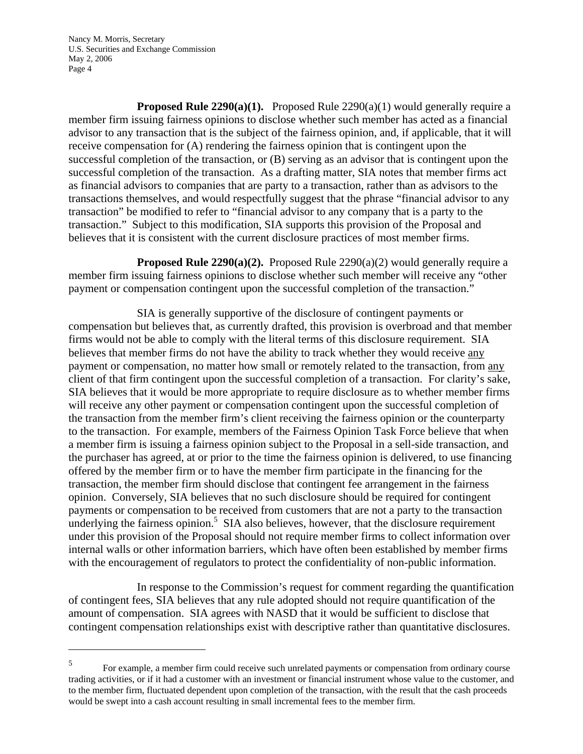1

**Proposed Rule 2290(a)(1).** Proposed Rule 2290(a)(1) would generally require a member firm issuing fairness opinions to disclose whether such member has acted as a financial advisor to any transaction that is the subject of the fairness opinion, and, if applicable, that it will receive compensation for (A) rendering the fairness opinion that is contingent upon the successful completion of the transaction, or (B) serving as an advisor that is contingent upon the successful completion of the transaction. As a drafting matter, SIA notes that member firms act as financial advisors to companies that are party to a transaction, rather than as advisors to the transactions themselves, and would respectfully suggest that the phrase "financial advisor to any transaction" be modified to refer to "financial advisor to any company that is a party to the transaction." Subject to this modification, SIA supports this provision of the Proposal and believes that it is consistent with the current disclosure practices of most member firms.

**Proposed Rule 2290(a)(2).** Proposed Rule 2290(a)(2) would generally require a member firm issuing fairness opinions to disclose whether such member will receive any "other payment or compensation contingent upon the successful completion of the transaction."

SIA is generally supportive of the disclosure of contingent payments or compensation but believes that, as currently drafted, this provision is overbroad and that member firms would not be able to comply with the literal terms of this disclosure requirement. SIA believes that member firms do not have the ability to track whether they would receive any payment or compensation, no matter how small or remotely related to the transaction, from any client of that firm contingent upon the successful completion of a transaction. For clarity's sake, SIA believes that it would be more appropriate to require disclosure as to whether member firms will receive any other payment or compensation contingent upon the successful completion of the transaction from the member firm's client receiving the fairness opinion or the counterparty to the transaction. For example, members of the Fairness Opinion Task Force believe that when a member firm is issuing a fairness opinion subject to the Proposal in a sell-side transaction, and the purchaser has agreed, at or prior to the time the fairness opinion is delivered, to use financing offered by the member firm or to have the member firm participate in the financing for the transaction, the member firm should disclose that contingent fee arrangement in the fairness opinion. Conversely, SIA believes that no such disclosure should be required for contingent payments or compensation to be received from customers that are not a party to the transaction  $\frac{1}{2}$  underlying the fairness opinion.<sup>[5](#page-3-0)</sup> SIA also believes, however, that the disclosure requirement under this provision of the Proposal should not require member firms to collect information over internal walls or other information barriers, which have often been established by member firms with the encouragement of regulators to protect the confidentiality of non-public information.

In response to the Commission's request for comment regarding the quantification of contingent fees, SIA believes that any rule adopted should not require quantification of the amount of compensation. SIA agrees with NASD that it would be sufficient to disclose that contingent compensation relationships exist with descriptive rather than quantitative disclosures.

<span id="page-3-0"></span><sup>5</sup> For example, a member firm could receive such unrelated payments or compensation from ordinary course trading activities, or if it had a customer with an investment or financial instrument whose value to the customer, and to the member firm, fluctuated dependent upon completion of the transaction, with the result that the cash proceeds would be swept into a cash account resulting in small incremental fees to the member firm.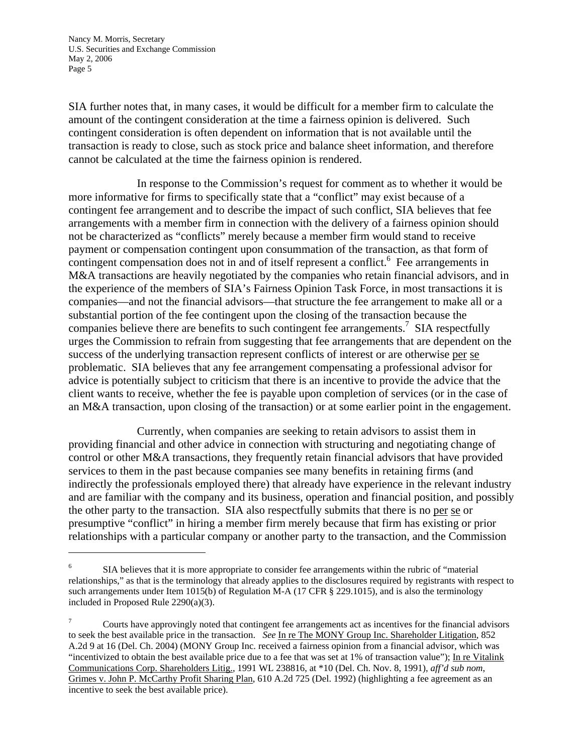1

SIA further notes that, in many cases, it would be difficult for a member firm to calculate the amount of the contingent consideration at the time a fairness opinion is delivered. Such contingent consideration is often dependent on information that is not available until the transaction is ready to close, such as stock price and balance sheet information, and therefore cannot be calculated at the time the fairness opinion is rendered.

In response to the Commission's request for comment as to whether it would be more informative for firms to specifically state that a "conflict" may exist because of a contingent fee arrangement and to describe the impact of such conflict, SIA believes that fee arrangements with a member firm in connection with the delivery of a fairness opinion should not be characterized as "conflicts" merely because a member firm would stand to receive payment or compensation contingent upon consummation of the transaction, as that form of contingent compensation does not in and of itself represent a conflict. $6$  Fee arrangements in M&A transactions are heavily negotiated by the companies who retain financial advisors, and in the experience of the members of SIA's Fairness Opinion Task Force, in most transactions it is companies—and not the financial advisors—that structure the fee arrangement to make all or a substantial portion of the fee contingent upon the closing of the transaction because the companies believe there are benefits to such contingent fee arrangements.<sup>[7](#page-4-1)</sup> SIA respectfully urges the Commission to refrain from suggesting that fee arrangements that are dependent on the success of the underlying transaction represent conflicts of interest or are otherwise per se problematic.SIA believes that any fee arrangement compensating a professional advisor for advice is potentially subject to criticism that there is an incentive to provide the advice that the client wants to receive, whether the fee is payable upon completion of services (or in the case of an M&A transaction, upon closing of the transaction) or at some earlier point in the engagement.

 Currently, when companies are seeking to retain advisors to assist them in providing financial and other advice in connection with structuring and negotiating change of control or other M&A transactions, they frequently retain financial advisors that have provided services to them in the past because companies see many benefits in retaining firms (and indirectly the professionals employed there) that already have experience in the relevant industry and are familiar with the company and its business, operation and financial position, and possibly the other party to the transaction. SIA also respectfully submits that there is no per se or presumptive "conflict" in hiring a member firm merely because that firm has existing or prior relationships with a particular company or another party to the transaction, and the Commission

<span id="page-4-0"></span><sup>6</sup> SIA believes that it is more appropriate to consider fee arrangements within the rubric of "material relationships," as that is the terminology that already applies to the disclosures required by registrants with respect to such arrangements under Item 1015(b) of Regulation M-A (17 CFR § 229.1015), and is also the terminology included in Proposed Rule 2290(a)(3).

<span id="page-4-1"></span> 7 Courts have approvingly noted that contingent fee arrangements act as incentives for the financial advisors to seek the best available price in the transaction. *See* In re The MONY Group Inc. Shareholder Litigation, 852 A.2d 9 at 16 (Del. Ch. 2004) (MONY Group Inc. received a fairness opinion from a financial advisor, which was "incentivized to obtain the best available price due to a fee that was set at  $1\%$  of transaction value"); In re Vitalink Communications Corp. Shareholders Litig., 1991 WL 238816, at \*10 (Del. Ch. Nov. 8, 1991), *aff'd sub nom*, Grimes v. John P. McCarthy Profit Sharing Plan, 610 A.2d 725 (Del. 1992) (highlighting a fee agreement as an incentive to seek the best available price).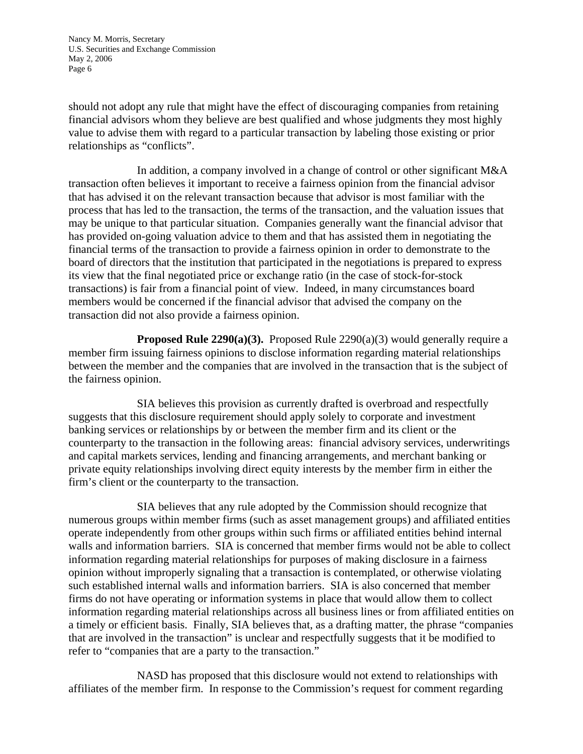should not adopt any rule that might have the effect of discouraging companies from retaining financial advisors whom they believe are best qualified and whose judgments they most highly value to advise them with regard to a particular transaction by labeling those existing or prior relationships as "conflicts".

 In addition, a company involved in a change of control or other significant M&A transaction often believes it important to receive a fairness opinion from the financial advisor that has advised it on the relevant transaction because that advisor is most familiar with the process that has led to the transaction, the terms of the transaction, and the valuation issues that may be unique to that particular situation. Companies generally want the financial advisor that has provided on-going valuation advice to them and that has assisted them in negotiating the financial terms of the transaction to provide a fairness opinion in order to demonstrate to the board of directors that the institution that participated in the negotiations is prepared to express its view that the final negotiated price or exchange ratio (in the case of stock-for-stock transactions) is fair from a financial point of view. Indeed, in many circumstances board members would be concerned if the financial advisor that advised the company on the transaction did not also provide a fairness opinion.

**Proposed Rule 2290(a)(3).** Proposed Rule 2290(a)(3) would generally require a member firm issuing fairness opinions to disclose information regarding material relationships between the member and the companies that are involved in the transaction that is the subject of the fairness opinion.

SIA believes this provision as currently drafted is overbroad and respectfully suggests that this disclosure requirement should apply solely to corporate and investment banking services or relationships by or between the member firm and its client or the counterparty to the transaction in the following areas: financial advisory services, underwritings and capital markets services, lending and financing arrangements, and merchant banking or private equity relationships involving direct equity interests by the member firm in either the firm's client or the counterparty to the transaction.

SIA believes that any rule adopted by the Commission should recognize that numerous groups within member firms (such as asset management groups) and affiliated entities operate independently from other groups within such firms or affiliated entities behind internal walls and information barriers. SIA is concerned that member firms would not be able to collect information regarding material relationships for purposes of making disclosure in a fairness opinion without improperly signaling that a transaction is contemplated, or otherwise violating such established internal walls and information barriers. SIA is also concerned that member firms do not have operating or information systems in place that would allow them to collect information regarding material relationships across all business lines or from affiliated entities on a timely or efficient basis. Finally, SIA believes that, as a drafting matter, the phrase "companies that are involved in the transaction" is unclear and respectfully suggests that it be modified to refer to "companies that are a party to the transaction."

NASD has proposed that this disclosure would not extend to relationships with affiliates of the member firm. In response to the Commission's request for comment regarding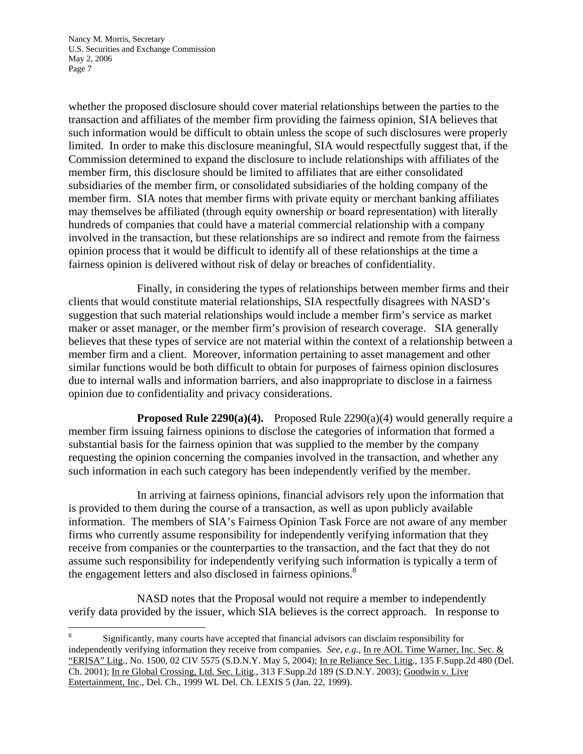<u>.</u>

whether the proposed disclosure should cover material relationships between the parties to the transaction and affiliates of the member firm providing the fairness opinion, SIA believes that such information would be difficult to obtain unless the scope of such disclosures were properly limited. In order to make this disclosure meaningful, SIA would respectfully suggest that, if the Commission determined to expand the disclosure to include relationships with affiliates of the member firm, this disclosure should be limited to affiliates that are either consolidated subsidiaries of the member firm, or consolidated subsidiaries of the holding company of the member firm. SIA notes that member firms with private equity or merchant banking affiliates may themselves be affiliated (through equity ownership or board representation) with literally hundreds of companies that could have a material commercial relationship with a company involved in the transaction, but these relationships are so indirect and remote from the fairness opinion process that it would be difficult to identify all of these relationships at the time a fairness opinion is delivered without risk of delay or breaches of confidentiality.

Finally, in considering the types of relationships between member firms and their clients that would constitute material relationships, SIA respectfully disagrees with NASD's suggestion that such material relationships would include a member firm's service as market maker or asset manager, or the member firm's provision of research coverage. SIA generally believes that these types of service are not material within the context of a relationship between a member firm and a client. Moreover, information pertaining to asset management and other similar functions would be both difficult to obtain for purposes of fairness opinion disclosures due to internal walls and information barriers, and also inappropriate to disclose in a fairness opinion due to confidentiality and privacy considerations.

**Proposed Rule 2290(a)(4).** Proposed Rule 2290(a)(4) would generally require a member firm issuing fairness opinions to disclose the categories of information that formed a substantial basis for the fairness opinion that was supplied to the member by the company requesting the opinion concerning the companies involved in the transaction, and whether any such information in each such category has been independently verified by the member.

In arriving at fairness opinions, financial advisors rely upon the information that is provided to them during the course of a transaction, as well as upon publicly available information. The members of SIA's Fairness Opinion Task Force are not aware of any member firms who currently assume responsibility for independently verifying information that they receive from companies or the counterparties to the transaction, and the fact that they do not assume such responsibility for independently verifying such information is typically a term of the engagement letters and also disclosed in fairness opinions.<sup>[8](#page-6-0)</sup>

NASD notes that the Proposal would not require a member to independently verify data provided by the issuer, which SIA believes is the correct approach. In response to

<span id="page-6-0"></span><sup>8</sup> Significantly, many courts have accepted that financial advisors can disclaim responsibility for independently verifying information they receive from companies. *See*, *e.g.*, In re AOL Time Warner, Inc. Sec. & "ERISA" Litg., No. 1500, 02 CIV 5575 (S.D.N.Y. May 5, 2004); In re Reliance Sec. Litig., 135 F.Supp.2d 480 (Del. Ch. 2001); In re Global Crossing, Ltd. Sec. Litig., 313 F.Supp.2d 189 (S.D.N.Y. 2003); Goodwin v. Live Entertainment, Inc., Del. Ch., 1999 WL Del. Ch. LEXIS 5 (Jan. 22, 1999).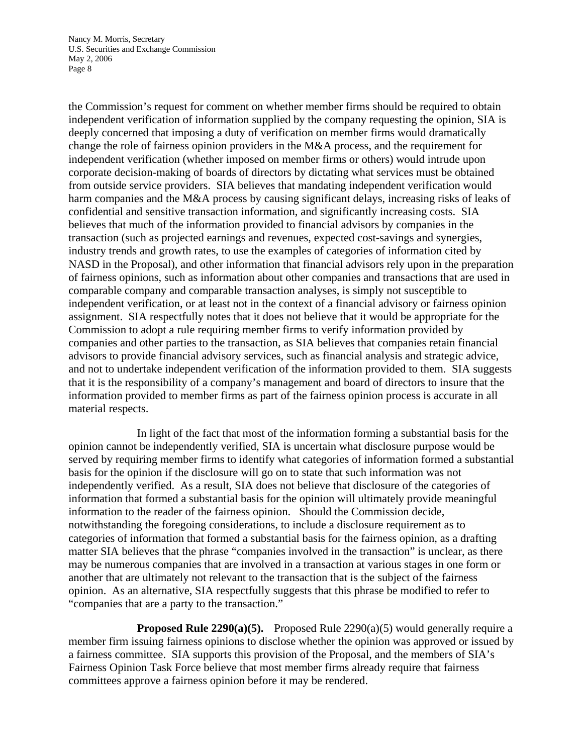the Commission's request for comment on whether member firms should be required to obtain independent verification of information supplied by the company requesting the opinion, SIA is deeply concerned that imposing a duty of verification on member firms would dramatically change the role of fairness opinion providers in the M&A process, and the requirement for independent verification (whether imposed on member firms or others) would intrude upon corporate decision-making of boards of directors by dictating what services must be obtained from outside service providers. SIA believes that mandating independent verification would harm companies and the M&A process by causing significant delays, increasing risks of leaks of confidential and sensitive transaction information, and significantly increasing costs. SIA believes that much of the information provided to financial advisors by companies in the transaction (such as projected earnings and revenues, expected cost-savings and synergies, industry trends and growth rates, to use the examples of categories of information cited by NASD in the Proposal), and other information that financial advisors rely upon in the preparation of fairness opinions, such as information about other companies and transactions that are used in comparable company and comparable transaction analyses, is simply not susceptible to independent verification, or at least not in the context of a financial advisory or fairness opinion assignment. SIA respectfully notes that it does not believe that it would be appropriate for the Commission to adopt a rule requiring member firms to verify information provided by companies and other parties to the transaction, as SIA believes that companies retain financial advisors to provide financial advisory services, such as financial analysis and strategic advice, and not to undertake independent verification of the information provided to them. SIA suggests that it is the responsibility of a company's management and board of directors to insure that the information provided to member firms as part of the fairness opinion process is accurate in all material respects.

In light of the fact that most of the information forming a substantial basis for the opinion cannot be independently verified, SIA is uncertain what disclosure purpose would be served by requiring member firms to identify what categories of information formed a substantial basis for the opinion if the disclosure will go on to state that such information was not independently verified. As a result, SIA does not believe that disclosure of the categories of information that formed a substantial basis for the opinion will ultimately provide meaningful information to the reader of the fairness opinion. Should the Commission decide, notwithstanding the foregoing considerations, to include a disclosure requirement as to categories of information that formed a substantial basis for the fairness opinion, as a drafting matter SIA believes that the phrase "companies involved in the transaction" is unclear, as there may be numerous companies that are involved in a transaction at various stages in one form or another that are ultimately not relevant to the transaction that is the subject of the fairness opinion. As an alternative, SIA respectfully suggests that this phrase be modified to refer to "companies that are a party to the transaction."

**Proposed Rule 2290(a)(5).** Proposed Rule 2290(a)(5) would generally require a member firm issuing fairness opinions to disclose whether the opinion was approved or issued by a fairness committee. SIA supports this provision of the Proposal, and the members of SIA's Fairness Opinion Task Force believe that most member firms already require that fairness committees approve a fairness opinion before it may be rendered.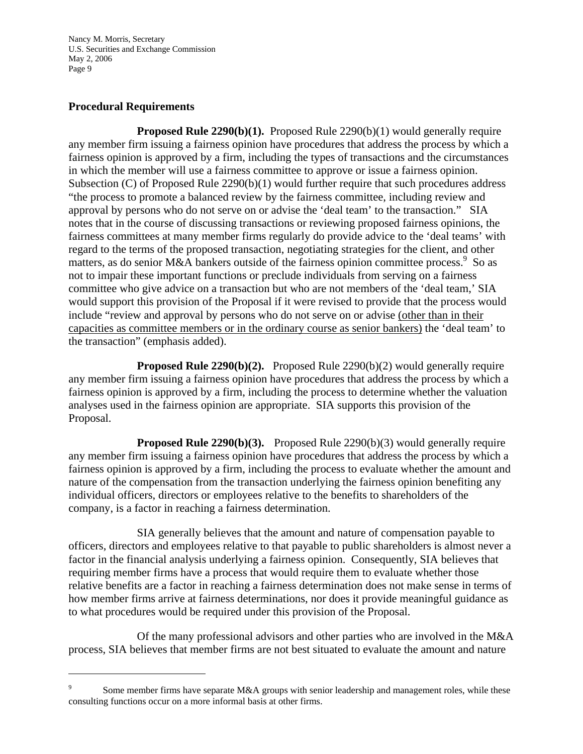## **Procedural Requirements**

 $\overline{a}$ 

**Proposed Rule 2290(b)(1).** Proposed Rule 2290(b)(1) would generally require any member firm issuing a fairness opinion have procedures that address the process by which a fairness opinion is approved by a firm, including the types of transactions and the circumstances in which the member will use a fairness committee to approve or issue a fairness opinion. Subsection (C) of Proposed Rule 2290(b)(1) would further require that such procedures address "the process to promote a balanced review by the fairness committee, including review and approval by persons who do not serve on or advise the 'deal team' to the transaction." SIA notes that in the course of discussing transactions or reviewing proposed fairness opinions, the fairness committees at many member firms regularly do provide advice to the 'deal teams' with regard to the terms of the proposed transaction, negotiating strategies for the client, and other matters, as do senior M&A bankers outside of the fairness opinion committee process.<sup>[9](#page-8-0)</sup> So as not to impair these important functions or preclude individuals from serving on a fairness committee who give advice on a transaction but who are not members of the 'deal team,' SIA would support this provision of the Proposal if it were revised to provide that the process would include "review and approval by persons who do not serve on or advise (other than in their capacities as committee members or in the ordinary course as senior bankers) the 'deal team' to the transaction" (emphasis added).

**Proposed Rule 2290(b)(2).** Proposed Rule 2290(b)(2) would generally require any member firm issuing a fairness opinion have procedures that address the process by which a fairness opinion is approved by a firm, including the process to determine whether the valuation analyses used in the fairness opinion are appropriate. SIA supports this provision of the Proposal.

**Proposed Rule 2290(b)(3).** Proposed Rule 2290(b)(3) would generally require any member firm issuing a fairness opinion have procedures that address the process by which a fairness opinion is approved by a firm, including the process to evaluate whether the amount and nature of the compensation from the transaction underlying the fairness opinion benefiting any individual officers, directors or employees relative to the benefits to shareholders of the company, is a factor in reaching a fairness determination.

SIA generally believes that the amount and nature of compensation payable to officers, directors and employees relative to that payable to public shareholders is almost never a factor in the financial analysis underlying a fairness opinion. Consequently, SIA believes that requiring member firms have a process that would require them to evaluate whether those relative benefits are a factor in reaching a fairness determination does not make sense in terms of how member firms arrive at fairness determinations, nor does it provide meaningful guidance as to what procedures would be required under this provision of the Proposal.

Of the many professional advisors and other parties who are involved in the M&A process, SIA believes that member firms are not best situated to evaluate the amount and nature

<span id="page-8-0"></span><sup>9</sup> Some member firms have separate M&A groups with senior leadership and management roles, while these consulting functions occur on a more informal basis at other firms.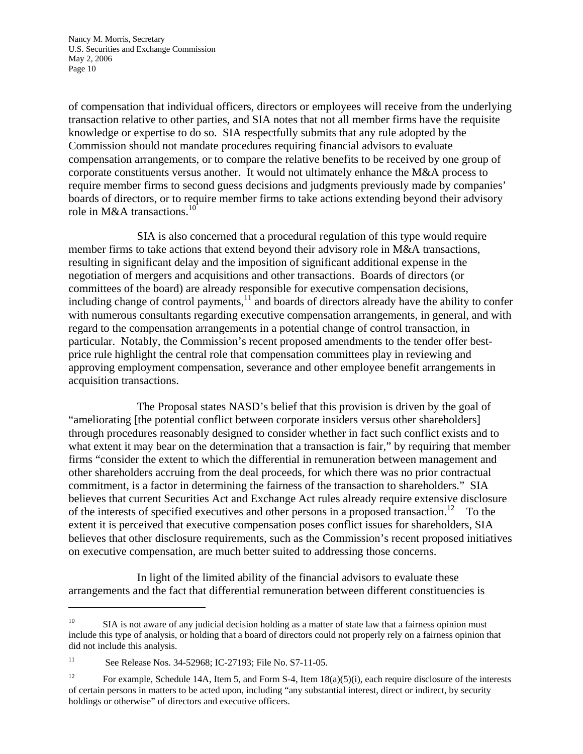of compensation that individual officers, directors or employees will receive from the underlying transaction relative to other parties, and SIA notes that not all member firms have the requisite knowledge or expertise to do so. SIA respectfully submits that any rule adopted by the Commission should not mandate procedures requiring financial advisors to evaluate compensation arrangements, or to compare the relative benefits to be received by one group of corporate constituents versus another. It would not ultimately enhance the M&A process to require member firms to second guess decisions and judgments previously made by companies' boards of directors, or to require member firms to take actions extending beyond their advisory role in M&A transactions.<sup>10</sup>

 SIA is also concerned that a procedural regulation of this type would require member firms to take actions that extend beyond their advisory role in M&A transactions, resulting in significant delay and the imposition of significant additional expense in the negotiation of mergers and acquisitions and other transactions. Boards of directors (or committees of the board) are already responsible for executive compensation decisions, including change of control payments, $\frac{11}{11}$  and boards of directors already have the ability to confer with numerous consultants regarding executive compensation arrangements, in general, and with regard to the compensation arrangements in a potential change of control transaction, in particular. Notably, the Commission's recent proposed amendments to the tender offer bestprice rule highlight the central role that compensation committees play in reviewing and approving employment compensation, severance and other employee benefit arrangements in acquisition transactions.

 The Proposal states NASD's belief that this provision is driven by the goal of "ameliorating [the potential conflict between corporate insiders versus other shareholders] through procedures reasonably designed to consider whether in fact such conflict exists and to what extent it may bear on the determination that a transaction is fair," by requiring that member firms "consider the extent to which the differential in remuneration between management and other shareholders accruing from the deal proceeds, for which there was no prior contractual commitment, is a factor in determining the fairness of the transaction to shareholders." SIA believes that current Securities Act and Exchange Act rules already require extensive disclosure of the interests of specified executives and other persons in a proposed transaction.<sup>12</sup> To the extent it is perceived that executive compensation poses conflict issues for shareholders, SIA believes that other disclosure requirements, such as the Commission's recent proposed initiatives on executive compensation, are much better suited to addressing those concerns.

 In light of the limited ability of the financial advisors to evaluate these arrangements and the fact that differential remuneration between different constituencies is

 $\overline{a}$ 

<span id="page-9-0"></span> $10$  SIA is not aware of any judicial decision holding as a matter of state law that a fairness opinion must include this type of analysis, or holding that a board of directors could not properly rely on a fairness opinion that did not include this analysis.

<span id="page-9-1"></span><sup>11</sup> See Release Nos. 34-52968; IC-27193; File No. S7-11-05.

<span id="page-9-2"></span><sup>&</sup>lt;sup>12</sup> For example, Schedule 14A, Item 5, and Form S-4, Item 18(a)(5)(i), each require disclosure of the interests of certain persons in matters to be acted upon, including "any substantial interest, direct or indirect, by security holdings or otherwise" of directors and executive officers.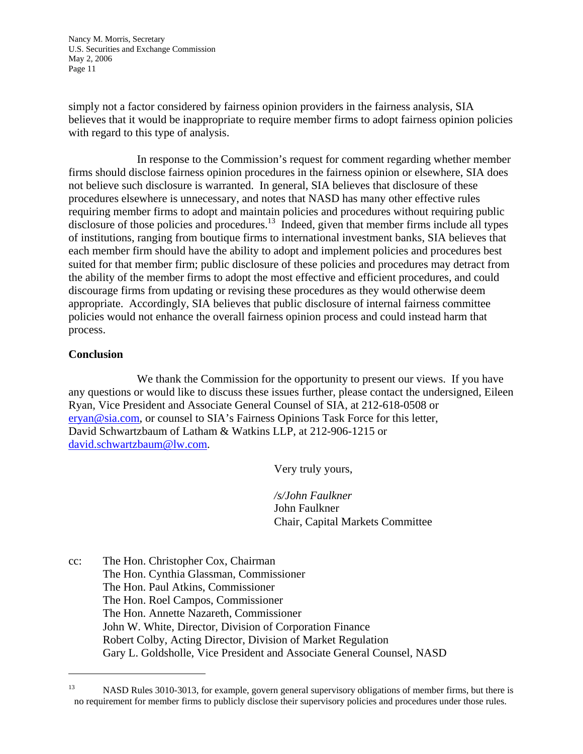simply not a factor considered by fairness opinion providers in the fairness analysis, SIA believes that it would be inappropriate to require member firms to adopt fairness opinion policies with regard to this type of analysis.

In response to the Commission's request for comment regarding whether member firms should disclose fairness opinion procedures in the fairness opinion or elsewhere, SIA does not believe such disclosure is warranted. In general, SIA believes that disclosure of these procedures elsewhere is unnecessary, and notes that NASD has many other effective rules requiring member firms to adopt and maintain policies and procedures without requiring public disclosure of those policies and procedures.<sup>13</sup> Indeed, given that member firms include all types of institutions, ranging from boutique firms to international investment banks, SIA believes that each member firm should have the ability to adopt and implement policies and procedures best suited for that member firm; public disclosure of these policies and procedures may detract from the ability of the member firms to adopt the most effective and efficient procedures, and could discourage firms from updating or revising these procedures as they would otherwise deem appropriate. Accordingly, SIA believes that public disclosure of internal fairness committee policies would not enhance the overall fairness opinion process and could instead harm that process.

### **Conclusion**

 $\overline{a}$ 

We thank the Commission for the opportunity to present our views. If you have any questions or would like to discuss these issues further, please contact the undersigned, Eileen Ryan, Vice President and Associate General Counsel of SIA, at 212-618-0508 or eryan@sia.com, or counsel to SIA's Fairness Opinions Task Force for this letter, David Schwartzbaum of Latham & Watkins LLP, at 212-906-1215 or david.schwartzbaum@lw.com.

Very truly yours,

*/s/John Faulkner*  John Faulkner Chair, Capital Markets Committee

cc: The Hon. Christopher Cox, Chairman The Hon. Cynthia Glassman, Commissioner The Hon. Paul Atkins, Commissioner The Hon. Roel Campos, Commissioner The Hon. Annette Nazareth, Commissioner John W. White, Director, Division of Corporation Finance Robert Colby, Acting Director, Division of Market Regulation Gary L. Goldsholle, Vice President and Associate General Counsel, NASD

<span id="page-10-0"></span><sup>&</sup>lt;sup>13</sup> NASD Rules 3010-3013, for example, govern general supervisory obligations of member firms, but there is no requirement for member firms to publicly disclose their supervisory policies and procedures under those rules.